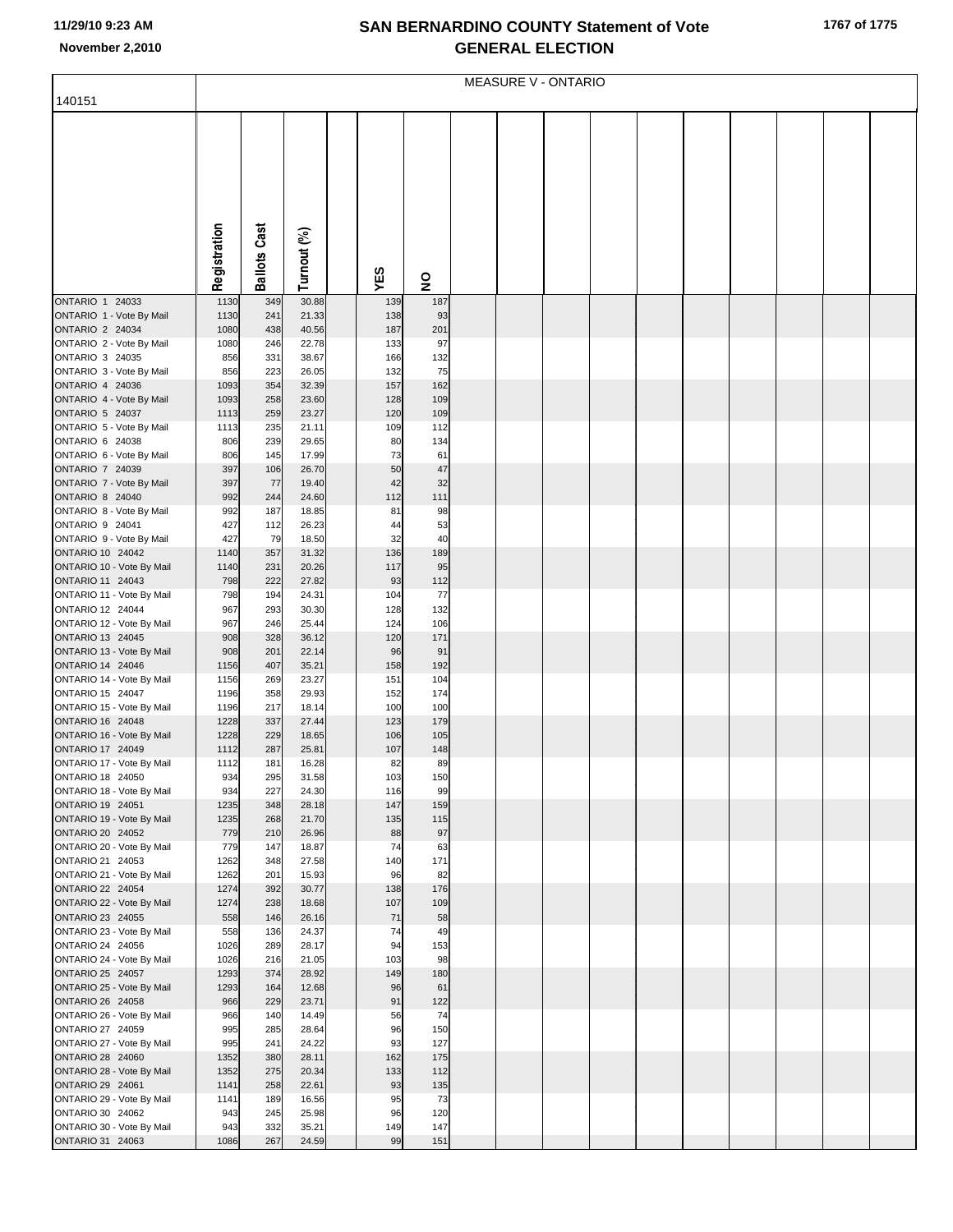## **SAN BERNARDINO COUNTY Statement of Vote November 2,2010 GENERAL ELECTION**

|                                                    | <b>MEASURE V - ONTARIO</b> |                     |                |  |            |            |  |  |  |  |  |  |  |  |  |
|----------------------------------------------------|----------------------------|---------------------|----------------|--|------------|------------|--|--|--|--|--|--|--|--|--|
| 140151                                             |                            |                     |                |  |            |            |  |  |  |  |  |  |  |  |  |
|                                                    |                            |                     |                |  |            |            |  |  |  |  |  |  |  |  |  |
|                                                    |                            |                     |                |  |            |            |  |  |  |  |  |  |  |  |  |
|                                                    |                            |                     |                |  |            |            |  |  |  |  |  |  |  |  |  |
|                                                    |                            |                     |                |  |            |            |  |  |  |  |  |  |  |  |  |
|                                                    |                            |                     |                |  |            |            |  |  |  |  |  |  |  |  |  |
|                                                    |                            |                     |                |  |            |            |  |  |  |  |  |  |  |  |  |
|                                                    |                            |                     |                |  |            |            |  |  |  |  |  |  |  |  |  |
|                                                    |                            |                     |                |  |            |            |  |  |  |  |  |  |  |  |  |
|                                                    |                            |                     |                |  |            |            |  |  |  |  |  |  |  |  |  |
|                                                    | Registration               | <b>Ballots Cast</b> | Turnout (%)    |  | YES        | 9          |  |  |  |  |  |  |  |  |  |
| ONTARIO 1 24033                                    | 1130                       | 349                 | 30.88          |  | 139        | 187        |  |  |  |  |  |  |  |  |  |
| ONTARIO 1 - Vote By Mail                           | 1130                       | 241                 | 21.33          |  | 138        | 93         |  |  |  |  |  |  |  |  |  |
| ONTARIO 2 24034                                    | 1080                       | 438                 | 40.56          |  | 187        | 201        |  |  |  |  |  |  |  |  |  |
| ONTARIO 2 - Vote By Mail                           | 1080                       | 246                 | 22.78          |  | 133        | 97         |  |  |  |  |  |  |  |  |  |
| ONTARIO 3 24035<br>ONTARIO 3 - Vote By Mail        | 856<br>856                 | 331<br>223          | 38.67<br>26.05 |  | 166<br>132 | 132<br>75  |  |  |  |  |  |  |  |  |  |
| ONTARIO 4 24036                                    | 1093                       | 354                 | 32.39          |  | 157        | 162        |  |  |  |  |  |  |  |  |  |
| ONTARIO 4 - Vote By Mail                           | 1093                       | 258                 | 23.60          |  | 128        | 109        |  |  |  |  |  |  |  |  |  |
| ONTARIO 5 24037                                    | 1113                       | 259                 | 23.27          |  | 120        | 109        |  |  |  |  |  |  |  |  |  |
| ONTARIO 5 - Vote By Mail<br>ONTARIO 6 24038        | 1113<br>806                | 235<br>239          | 21.11<br>29.65 |  | 109<br>80  | 112<br>134 |  |  |  |  |  |  |  |  |  |
| ONTARIO 6 - Vote By Mail                           | 806                        | 145                 | 17.99          |  | 73         | 61         |  |  |  |  |  |  |  |  |  |
| ONTARIO 7 24039                                    | 397                        | 106                 | 26.70          |  | 50         | 47         |  |  |  |  |  |  |  |  |  |
| ONTARIO 7 - Vote By Mail                           | 397                        | 77                  | 19.40          |  | 42         | 32         |  |  |  |  |  |  |  |  |  |
| <b>ONTARIO 8 24040</b><br>ONTARIO 8 - Vote By Mail | 992<br>992                 | 244<br>187          | 24.60<br>18.85 |  | 112<br>81  | 111<br>98  |  |  |  |  |  |  |  |  |  |
| ONTARIO 9 24041                                    | 427                        | 112                 | 26.23          |  | 44         | 53         |  |  |  |  |  |  |  |  |  |
| ONTARIO 9 - Vote By Mail                           | 427                        | 79                  | 18.50          |  | 32         | 40         |  |  |  |  |  |  |  |  |  |
| ONTARIO 10 24042                                   | 1140                       | 357                 | 31.32          |  | 136        | 189        |  |  |  |  |  |  |  |  |  |
| ONTARIO 10 - Vote By Mail<br>ONTARIO 11 24043      | 1140<br>798                | 231<br>222          | 20.26<br>27.82 |  | 117<br>93  | 95<br>112  |  |  |  |  |  |  |  |  |  |
| ONTARIO 11 - Vote By Mail                          | 798                        | 194                 | 24.31          |  | 104        | 77         |  |  |  |  |  |  |  |  |  |
| ONTARIO 12 24044                                   | 967                        | 293                 | 30.30          |  | 128        | 132        |  |  |  |  |  |  |  |  |  |
| ONTARIO 12 - Vote By Mail                          | 967                        | 246                 | 25.44          |  | 124        | 106        |  |  |  |  |  |  |  |  |  |
| ONTARIO 13 24045<br>ONTARIO 13 - Vote By Mail      | 908<br>908                 | 328<br>201          | 36.12<br>22.14 |  | 120<br>96  | 171<br>91  |  |  |  |  |  |  |  |  |  |
| ONTARIO 14 24046                                   | 1156                       | 407                 | 35.21          |  | 158        | 192        |  |  |  |  |  |  |  |  |  |
| ONTARIO 14 - Vote By Mail                          | 1156                       | 269                 | 23.27          |  | 151        | 104        |  |  |  |  |  |  |  |  |  |
| ONTARIO 15 24047                                   | 1196                       | 358                 | 29.93          |  | 152        | 174        |  |  |  |  |  |  |  |  |  |
| ONTARIO 15 - Vote By Mail<br>ONTARIO 16 24048      | 1196<br>1228               | 217<br>337          | 18.14<br>27.44 |  | 100<br>123 | 100<br>179 |  |  |  |  |  |  |  |  |  |
| ONTARIO 16 - Vote By Mail                          | 1228                       | 229                 | 18.65          |  | 106        | 105        |  |  |  |  |  |  |  |  |  |
| ONTARIO 17 24049                                   | 1112                       | 287                 | 25.81          |  | 107        | 148        |  |  |  |  |  |  |  |  |  |
| ONTARIO 17 - Vote By Mail                          | 1112                       | 181                 | 16.28          |  | 82         | 89         |  |  |  |  |  |  |  |  |  |
| ONTARIO 18 24050<br>ONTARIO 18 - Vote By Mail      | 934<br>934                 | 295<br>227          | 31.58<br>24.30 |  | 103<br>116 | 150<br>99  |  |  |  |  |  |  |  |  |  |
| ONTARIO 19 24051                                   | 1235                       | 348                 | 28.18          |  | 147        | 159        |  |  |  |  |  |  |  |  |  |
| ONTARIO 19 - Vote By Mail                          | 1235                       | 268                 | 21.70          |  | 135        | 115        |  |  |  |  |  |  |  |  |  |
| ONTARIO 20 24052                                   | 779                        | 210                 | 26.96          |  | 88         | 97         |  |  |  |  |  |  |  |  |  |
| ONTARIO 20 - Vote By Mail<br>ONTARIO 21 24053      | 779<br>1262                | 147<br>348          | 18.87<br>27.58 |  | 74<br>140  | 63<br>171  |  |  |  |  |  |  |  |  |  |
| ONTARIO 21 - Vote By Mail                          | 1262                       | 201                 | 15.93          |  | 96         | 82         |  |  |  |  |  |  |  |  |  |
| ONTARIO 22 24054                                   | 1274                       | 392                 | 30.77          |  | 138        | 176        |  |  |  |  |  |  |  |  |  |
| ONTARIO 22 - Vote By Mail<br>ONTARIO 23 24055      | 1274                       | 238                 | 18.68          |  | 107<br>71  | 109<br>58  |  |  |  |  |  |  |  |  |  |
| ONTARIO 23 - Vote By Mail                          | 558<br>558                 | 146<br>136          | 26.16<br>24.37 |  | 74         | 49         |  |  |  |  |  |  |  |  |  |
| ONTARIO 24 24056                                   | 1026                       | 289                 | 28.17          |  | 94         | 153        |  |  |  |  |  |  |  |  |  |
| ONTARIO 24 - Vote By Mail                          | 1026                       | 216                 | 21.05          |  | 103        | 98         |  |  |  |  |  |  |  |  |  |
| ONTARIO 25 24057                                   | 1293                       | 374                 | 28.92          |  | 149<br>96  | 180        |  |  |  |  |  |  |  |  |  |
| ONTARIO 25 - Vote By Mail<br>ONTARIO 26 24058      | 1293<br>966                | 164<br>229          | 12.68<br>23.71 |  | 91         | 61<br>122  |  |  |  |  |  |  |  |  |  |
| ONTARIO 26 - Vote By Mail                          | 966                        | 140                 | 14.49          |  | 56         | 74         |  |  |  |  |  |  |  |  |  |
| ONTARIO 27 24059                                   | 995                        | 285                 | 28.64          |  | 96         | 150        |  |  |  |  |  |  |  |  |  |
| ONTARIO 27 - Vote By Mail<br>ONTARIO 28 24060      | 995<br>1352                | 241<br>380          | 24.22<br>28.11 |  | 93<br>162  | 127<br>175 |  |  |  |  |  |  |  |  |  |
| ONTARIO 28 - Vote By Mail                          | 1352                       | 275                 | 20.34          |  | 133        | 112        |  |  |  |  |  |  |  |  |  |
| ONTARIO 29 24061                                   | 1141                       | 258                 | 22.61          |  | 93         | 135        |  |  |  |  |  |  |  |  |  |
| ONTARIO 29 - Vote By Mail                          | 1141                       | 189                 | 16.56          |  | 95         | 73         |  |  |  |  |  |  |  |  |  |
| ONTARIO 30 24062<br>ONTARIO 30 - Vote By Mail      | 943<br>943                 | 245<br>332          | 25.98<br>35.21 |  | 96<br>149  | 120<br>147 |  |  |  |  |  |  |  |  |  |
| ONTARIO 31 24063                                   | 1086                       | 267                 | 24.59          |  | 99         | 151        |  |  |  |  |  |  |  |  |  |
|                                                    |                            |                     |                |  |            |            |  |  |  |  |  |  |  |  |  |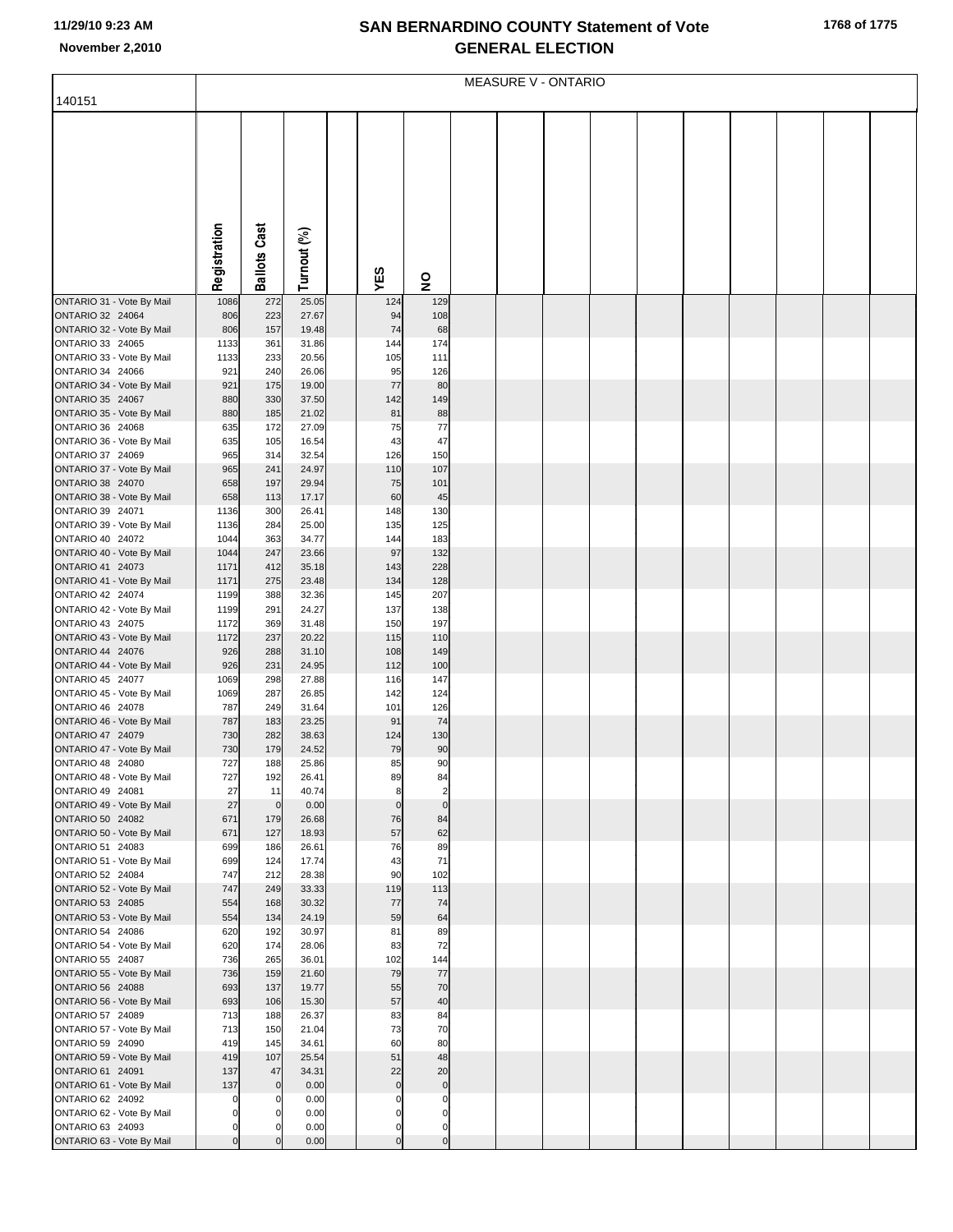## **SAN BERNARDINO COUNTY Statement of Vote November 2,2010 GENERAL ELECTION**

|                                               | <b>MEASURE V - ONTARIO</b> |                                  |                |  |                            |                               |  |  |  |  |  |  |  |  |  |
|-----------------------------------------------|----------------------------|----------------------------------|----------------|--|----------------------------|-------------------------------|--|--|--|--|--|--|--|--|--|
| 140151                                        |                            |                                  |                |  |                            |                               |  |  |  |  |  |  |  |  |  |
|                                               |                            |                                  |                |  |                            |                               |  |  |  |  |  |  |  |  |  |
|                                               |                            |                                  |                |  |                            |                               |  |  |  |  |  |  |  |  |  |
|                                               |                            |                                  |                |  |                            |                               |  |  |  |  |  |  |  |  |  |
|                                               |                            |                                  |                |  |                            |                               |  |  |  |  |  |  |  |  |  |
|                                               |                            |                                  |                |  |                            |                               |  |  |  |  |  |  |  |  |  |
|                                               |                            |                                  |                |  |                            |                               |  |  |  |  |  |  |  |  |  |
|                                               |                            |                                  |                |  |                            |                               |  |  |  |  |  |  |  |  |  |
|                                               |                            |                                  |                |  |                            |                               |  |  |  |  |  |  |  |  |  |
|                                               | Registration               | <b>Ballots Cast</b>              | Turnout (%)    |  |                            |                               |  |  |  |  |  |  |  |  |  |
|                                               |                            |                                  |                |  | YES                        | 9                             |  |  |  |  |  |  |  |  |  |
| ONTARIO 31 - Vote By Mail                     | 1086                       | 272                              | 25.05          |  | 124                        | 129                           |  |  |  |  |  |  |  |  |  |
| ONTARIO 32 24064<br>ONTARIO 32 - Vote By Mail | 806<br>806                 | 223<br>157                       | 27.67<br>19.48 |  | 94<br>74                   | 108<br>68                     |  |  |  |  |  |  |  |  |  |
| ONTARIO 33 24065                              | 1133                       | 361                              | 31.86          |  | 144                        | 174                           |  |  |  |  |  |  |  |  |  |
| ONTARIO 33 - Vote By Mail                     | 1133                       | 233                              | 20.56          |  | 105                        | 111                           |  |  |  |  |  |  |  |  |  |
| ONTARIO 34 24066<br>ONTARIO 34 - Vote By Mail | 921<br>921                 | 240<br>175                       | 26.06<br>19.00 |  | 95<br>77                   | 126<br>80                     |  |  |  |  |  |  |  |  |  |
| ONTARIO 35 24067                              | 880                        | 330                              | 37.50          |  | 142                        | 149                           |  |  |  |  |  |  |  |  |  |
| ONTARIO 35 - Vote By Mail                     | 880                        | 185                              | 21.02          |  | 81                         | 88                            |  |  |  |  |  |  |  |  |  |
| ONTARIO 36 24068                              | 635                        | 172                              | 27.09          |  | 75                         | 77                            |  |  |  |  |  |  |  |  |  |
| ONTARIO 36 - Vote By Mail<br>ONTARIO 37 24069 | 635<br>965                 | 105<br>314                       | 16.54<br>32.54 |  | 43<br>126                  | 47<br>150                     |  |  |  |  |  |  |  |  |  |
| ONTARIO 37 - Vote By Mail                     | 965                        | 241                              | 24.97          |  | 110                        | 107                           |  |  |  |  |  |  |  |  |  |
| ONTARIO 38 24070                              | 658                        | 197                              | 29.94          |  | 75                         | 101                           |  |  |  |  |  |  |  |  |  |
| ONTARIO 38 - Vote By Mail<br>ONTARIO 39 24071 | 658<br>1136                | 113<br>300                       | 17.17<br>26.41 |  | 60<br>148                  | 45<br>130                     |  |  |  |  |  |  |  |  |  |
| ONTARIO 39 - Vote By Mail                     | 1136                       | 284                              | 25.00          |  | 135                        | 125                           |  |  |  |  |  |  |  |  |  |
| ONTARIO 40 24072                              | 1044                       | 363                              | 34.77          |  | 144                        | 183                           |  |  |  |  |  |  |  |  |  |
| ONTARIO 40 - Vote By Mail                     | 1044                       | 247                              | 23.66          |  | 97                         | 132                           |  |  |  |  |  |  |  |  |  |
| ONTARIO 41 24073<br>ONTARIO 41 - Vote By Mail | 1171<br>1171               | 412<br>275                       | 35.18<br>23.48 |  | 143<br>134                 | 228<br>128                    |  |  |  |  |  |  |  |  |  |
| ONTARIO 42 24074                              | 1199                       | 388                              | 32.36          |  | 145                        | 207                           |  |  |  |  |  |  |  |  |  |
| ONTARIO 42 - Vote By Mail                     | 1199                       | 291                              | 24.27          |  | 137                        | 138                           |  |  |  |  |  |  |  |  |  |
| ONTARIO 43 24075<br>ONTARIO 43 - Vote By Mail | 1172<br>1172               | 369<br>237                       | 31.48<br>20.22 |  | 150<br>115                 | 197<br>110                    |  |  |  |  |  |  |  |  |  |
| ONTARIO 44 24076                              | 926                        | 288                              | 31.10          |  | 108                        | 149                           |  |  |  |  |  |  |  |  |  |
| ONTARIO 44 - Vote By Mail                     | 926                        | 231                              | 24.95          |  | 112                        | 100                           |  |  |  |  |  |  |  |  |  |
| ONTARIO 45 24077<br>ONTARIO 45 - Vote By Mail | 1069<br>1069               | 298<br>287                       | 27.88<br>26.85 |  | 116<br>142                 | 147<br>124                    |  |  |  |  |  |  |  |  |  |
| ONTARIO 46 24078                              | 787                        | 249                              | 31.64          |  | 101                        | 126                           |  |  |  |  |  |  |  |  |  |
| ONTARIO 46 - Vote By Mail                     | 787                        | 183                              | 23.25          |  | 91                         | 74                            |  |  |  |  |  |  |  |  |  |
| ONTARIO 47 24079<br>ONTARIO 47 - Vote By Mail | 730<br>730                 | 282<br>179                       | 38.63<br>24.52 |  | 124<br>79                  | 130<br>90                     |  |  |  |  |  |  |  |  |  |
| ONTARIO 48 24080                              | 727                        | 188                              | 25.86          |  | 85                         | 90                            |  |  |  |  |  |  |  |  |  |
| ONTARIO 48 - Vote By Mail                     | 727                        | 192                              | 26.41          |  | 89                         | 84                            |  |  |  |  |  |  |  |  |  |
| ONTARIO 49 24081<br>ONTARIO 49 - Vote By Mail | 27<br>27                   | 11<br>$\circ$                    | 40.74<br>0.00  |  | 8<br>$\mathbf 0$           | $\overline{c}$<br>$\mathbf 0$ |  |  |  |  |  |  |  |  |  |
| ONTARIO 50 24082                              | 671                        | 179                              | 26.68          |  | 76                         | 84                            |  |  |  |  |  |  |  |  |  |
| ONTARIO 50 - Vote By Mail                     | 671                        | 127                              | 18.93          |  | 57                         | 62                            |  |  |  |  |  |  |  |  |  |
| ONTARIO 51 24083<br>ONTARIO 51 - Vote By Mail | 699<br>699                 | 186<br>124                       | 26.61<br>17.74 |  | 76<br>43                   | 89<br>71                      |  |  |  |  |  |  |  |  |  |
| ONTARIO 52 24084                              | 747                        | 212                              | 28.38          |  | 90                         | 102                           |  |  |  |  |  |  |  |  |  |
| ONTARIO 52 - Vote By Mail                     | 747                        | 249                              | 33.33          |  | 119                        | 113                           |  |  |  |  |  |  |  |  |  |
| ONTARIO 53 24085                              | 554                        | 168                              | 30.32          |  | 77<br>59                   | 74                            |  |  |  |  |  |  |  |  |  |
| ONTARIO 53 - Vote By Mail<br>ONTARIO 54 24086 | 554<br>620                 | 134<br>192                       | 24.19<br>30.97 |  | 81                         | 64<br>89                      |  |  |  |  |  |  |  |  |  |
| ONTARIO 54 - Vote By Mail                     | 620                        | 174                              | 28.06          |  | 83                         | 72                            |  |  |  |  |  |  |  |  |  |
| ONTARIO 55 24087                              | 736                        | 265                              | 36.01          |  | 102<br>79                  | 144                           |  |  |  |  |  |  |  |  |  |
| ONTARIO 55 - Vote By Mail<br>ONTARIO 56 24088 | 736<br>693                 | 159<br>137                       | 21.60<br>19.77 |  | 55                         | 77<br>70                      |  |  |  |  |  |  |  |  |  |
| ONTARIO 56 - Vote By Mail                     | 693                        | 106                              | 15.30          |  | 57                         | 40                            |  |  |  |  |  |  |  |  |  |
| ONTARIO 57 24089                              | 713                        | 188                              | 26.37          |  | 83                         | 84                            |  |  |  |  |  |  |  |  |  |
| ONTARIO 57 - Vote By Mail<br>ONTARIO 59 24090 | 713<br>419                 | 150<br>145                       | 21.04<br>34.61 |  | 73<br>60                   | 70<br>80                      |  |  |  |  |  |  |  |  |  |
| ONTARIO 59 - Vote By Mail                     | 419                        | 107                              | 25.54          |  | 51                         | 48                            |  |  |  |  |  |  |  |  |  |
| ONTARIO 61 24091                              | 137                        | 47                               | 34.31          |  | 22                         | 20                            |  |  |  |  |  |  |  |  |  |
| ONTARIO 61 - Vote By Mail<br>ONTARIO 62 24092 | 137<br>0                   | $\overline{0}$<br>$\overline{0}$ | 0.00<br>0.00   |  | $\mathbf 0$<br>$\mathbf 0$ | $\pmb{0}$<br>$\mathbf 0$      |  |  |  |  |  |  |  |  |  |
| ONTARIO 62 - Vote By Mail                     | $\pmb{0}$                  | $\overline{0}$                   | 0.00           |  | $\mathbf 0$                | $\mathbf 0$                   |  |  |  |  |  |  |  |  |  |
| ONTARIO 63 24093                              | $\pmb{0}$                  | $\overline{0}$                   | 0.00           |  | $\mathbf 0$                | $\mathbf 0$                   |  |  |  |  |  |  |  |  |  |
| ONTARIO 63 - Vote By Mail                     | $\mathbf 0$                | $\overline{0}$                   | 0.00           |  | $\Omega$                   | $\mathbf 0$                   |  |  |  |  |  |  |  |  |  |